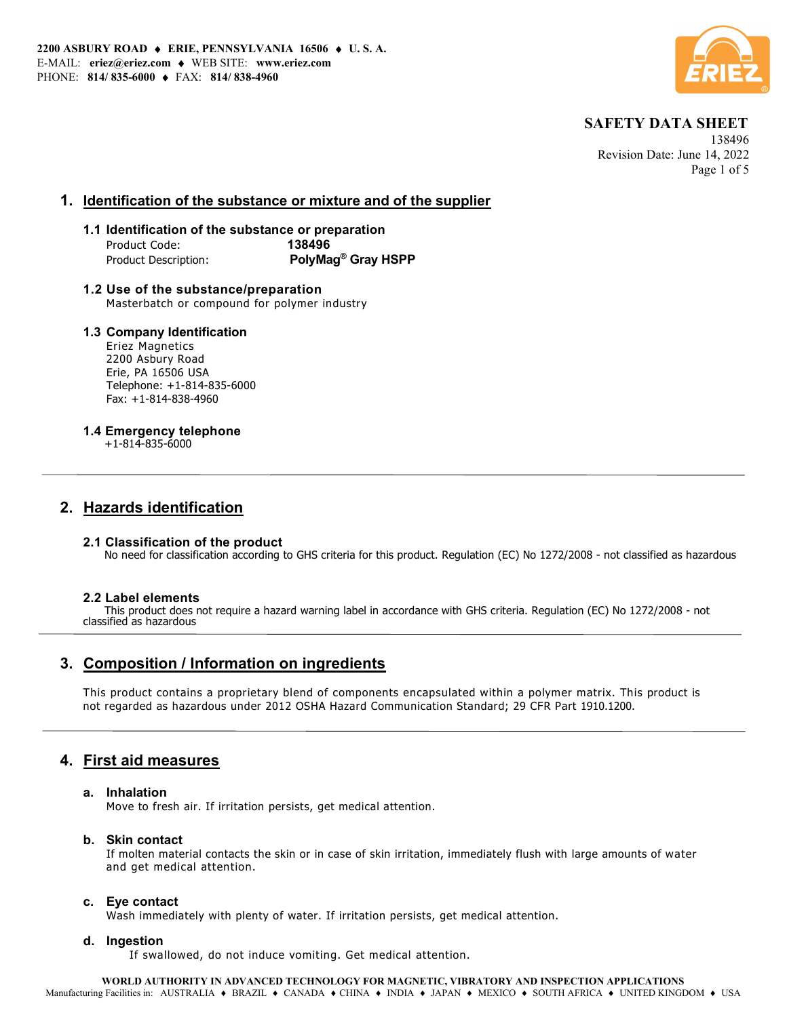

 138496 Revision Date: June 14, 2022 Page 1 of 5

## 1. Identification of the substance or mixture and of the supplier

### 1.1 Identification of the substance or preparation Product Code: 138496 Product Description: PolyMag<sup>®</sup> Gray HSPP

1.2 Use of the substance/preparation Masterbatch or compound for polymer industry

### 1.3 Company Identification

Eriez Magnetics 2200 Asbury Road Erie, PA 16506 USA Telephone: +1-814-835-6000 Fax: +1-814-838-4960

### 1.4 Emergency telephone

+1-814-835-6000

## 2. Hazards identification

#### 2.1 Classification of the product

No need for classification according to GHS criteria for this product. Regulation (EC) No 1272/2008 - not classified as hazardous

#### 2.2 Label elements

 This product does not require a hazard warning label in accordance with GHS criteria. Regulation (EC) No 1272/2008 - not classified as hazardous

# 3. Composition / Information on ingredients

This product contains a proprietary blend of components encapsulated within a polymer matrix. This product is not regarded as hazardous under 2012 OSHA Hazard Communication Standard; 29 CFR Part 1910.1200.

## 4. First aid measures

#### a. Inhalation

Move to fresh air. If irritation persists, get medical attention.

#### b. Skin contact

If molten material contacts the skin or in case of skin irritation, immediately flush with large amounts of water and get medical attention.

#### c. Eye contact

Wash immediately with plenty of water. If irritation persists, get medical attention.

#### d. Ingestion

If swallowed, do not induce vomiting. Get medical attention.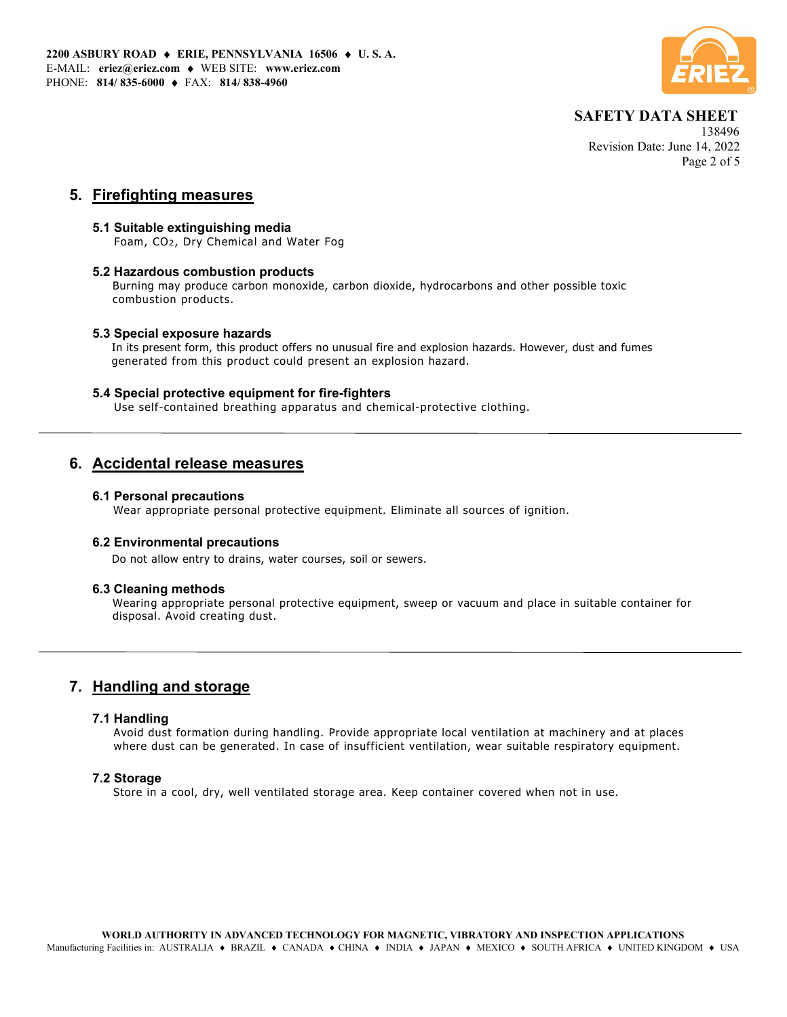

 138496 Revision Date: June 14, 2022 Page 2 of 5

## 5. Firefighting measures

### 5.1 Suitable extinguishing media

Foam, CO2, Dry Chemical and Water Fog

#### 5.2 Hazardous combustion products

Burning may produce carbon monoxide, carbon dioxide, hydrocarbons and other possible toxic combustion products.

### 5.3 Special exposure hazards

In its present form, this product offers no unusual fire and explosion hazards. However, dust and fumes generated from this product could present an explosion hazard.

### 5.4 Special protective equipment for fire-fighters

Use self-contained breathing apparatus and chemical-protective clothing.

## 6. Accidental release measures

#### 6.1 Personal precautions

Wear appropriate personal protective equipment. Eliminate all sources of ignition.

### 6.2 Environmental precautions

Do not allow entry to drains, water courses, soil or sewers.

#### 6.3 Cleaning methods

Wearing appropriate personal protective equipment, sweep or vacuum and place in suitable container for disposal. Avoid creating dust.

# 7. Handling and storage

#### 7.1 Handling

Avoid dust formation during handling. Provide appropriate local ventilation at machinery and at places where dust can be generated. In case of insufficient ventilation, wear suitable respiratory equipment.

#### 7.2 Storage

Store in a cool, dry, well ventilated storage area. Keep container covered when not in use.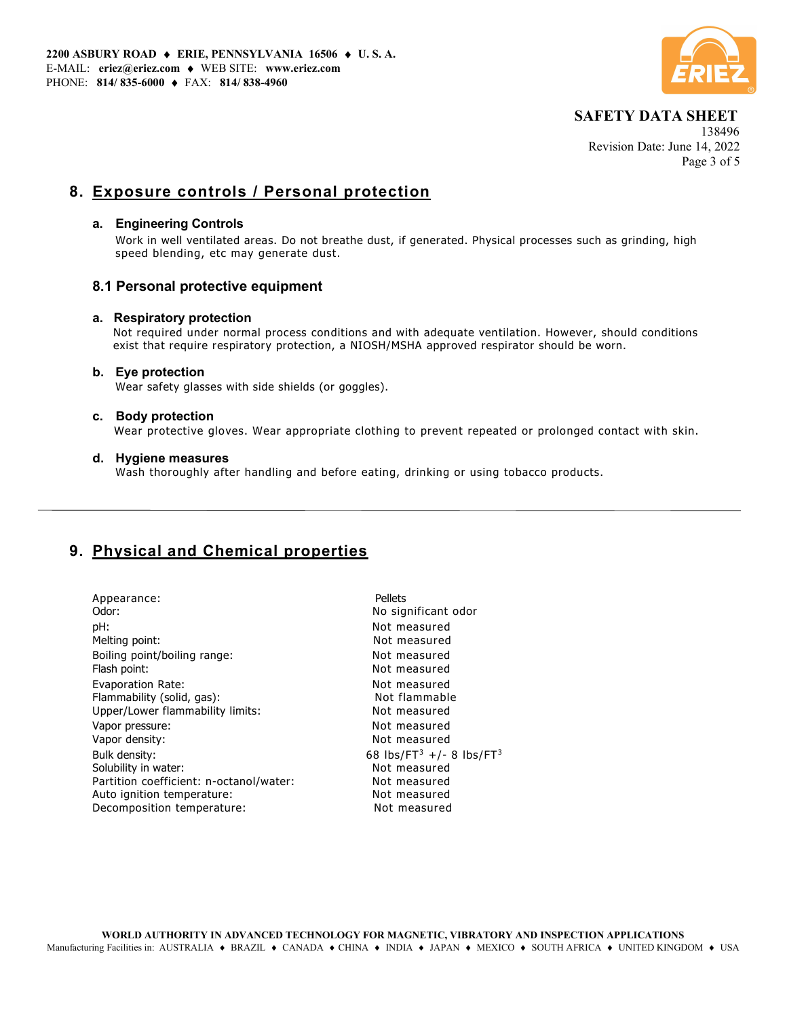

 138496 Revision Date: June 14, 2022 Page 3 of 5

# 8. Exposure controls / Personal protection

#### a. Engineering Controls

Work in well ventilated areas. Do not breathe dust, if generated. Physical processes such as grinding, high speed blending, etc may generate dust.

## 8.1 Personal protective equipment

### a. Respiratory protection

 Not required under normal process conditions and with adequate ventilation. However, should conditions exist that require respiratory protection, a NIOSH/MSHA approved respirator should be worn.

#### b. Eye protection

Wear safety glasses with side shields (or goggles).

#### c. Body protection

Wear protective gloves. Wear appropriate clothing to prevent repeated or prolonged contact with skin.

#### d. Hygiene measures

Wash thoroughly after handling and before eating, drinking or using tobacco products.

# 9. Physical and Chemical properties

| Appearance:<br>Odor:                         | Pellets<br>No significant odor                   |
|----------------------------------------------|--------------------------------------------------|
| pH:                                          | Not measured                                     |
| Melting point:                               | Not measured                                     |
| Boiling point/boiling range:<br>Flash point: | Not measured<br>Not measured                     |
| Evaporation Rate:                            | Not measured                                     |
| Flammability (solid, gas):                   | Not flammable                                    |
| Upper/Lower flammability limits:             | Not measured                                     |
| Vapor pressure:                              | Not measured                                     |
| Vapor density:                               | Not measured                                     |
| Bulk density:                                | 68 lbs/FT <sup>3</sup> +/- 8 lbs/FT <sup>3</sup> |
| Solubility in water:                         | Not measured                                     |
| Partition coefficient: n-octanol/water:      | Not measured                                     |
| Auto ignition temperature:                   | Not measured                                     |
| Decomposition temperature:                   | Not measured                                     |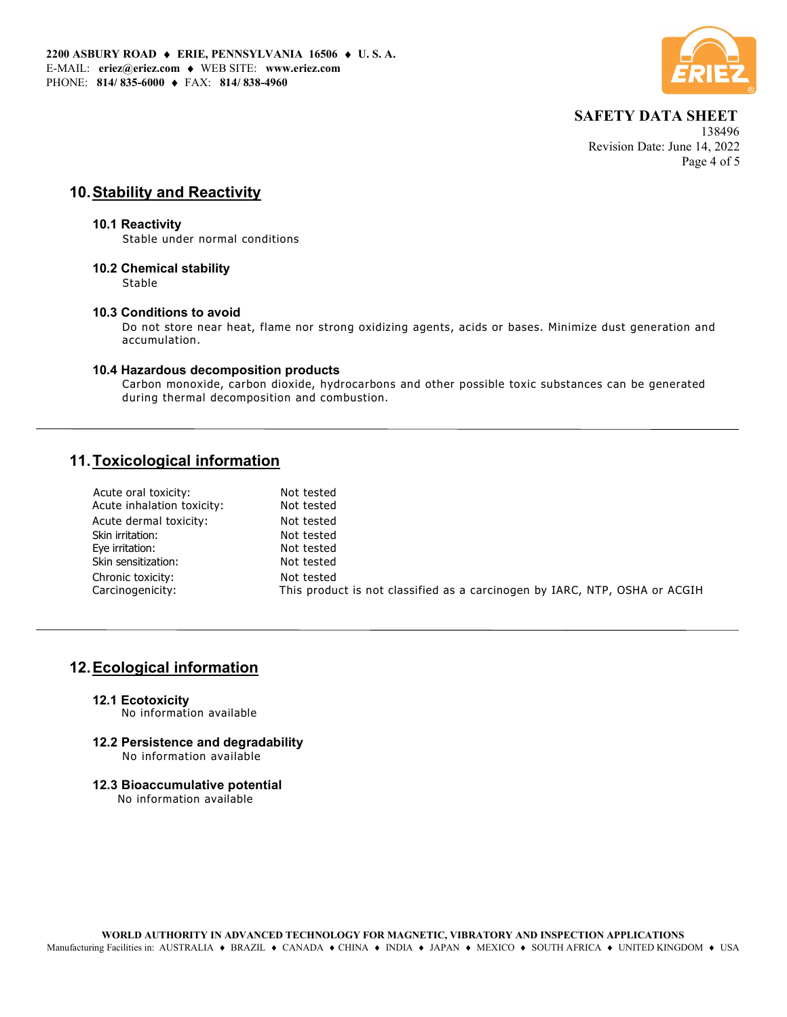

 138496 Revision Date: June 14, 2022 Page 4 of 5

# 10. Stability and Reactivity

#### 10.1 Reactivity

Stable under normal conditions

### 10.2 Chemical stability

Stable

#### 10.3 Conditions to avoid

Do not store near heat, flame nor strong oxidizing agents, acids or bases. Minimize dust generation and accumulation.

### 10.4 Hazardous decomposition products

Carbon monoxide, carbon dioxide, hydrocarbons and other possible toxic substances can be generated during thermal decomposition and combustion.

# 11. Toxicological information

| Acute inhalation toxicity:<br>Not tested                                                       |  |
|------------------------------------------------------------------------------------------------|--|
| Acute dermal toxicity:<br>Not tested                                                           |  |
| Skin irritation:<br>Not tested                                                                 |  |
| Eye irritation:<br>Not tested                                                                  |  |
| Skin sensitization:<br>Not tested                                                              |  |
| Chronic toxicity:<br>Not tested                                                                |  |
| Carcinogenicity:<br>This product is not classified as a carcinogen by IARC, NTP, OSHA or ACGIH |  |

## 12. Ecological information

12.1 Ecotoxicity

No information available

- 12.2 Persistence and degradability No information available
- 12.3 Bioaccumulative potential

No information available